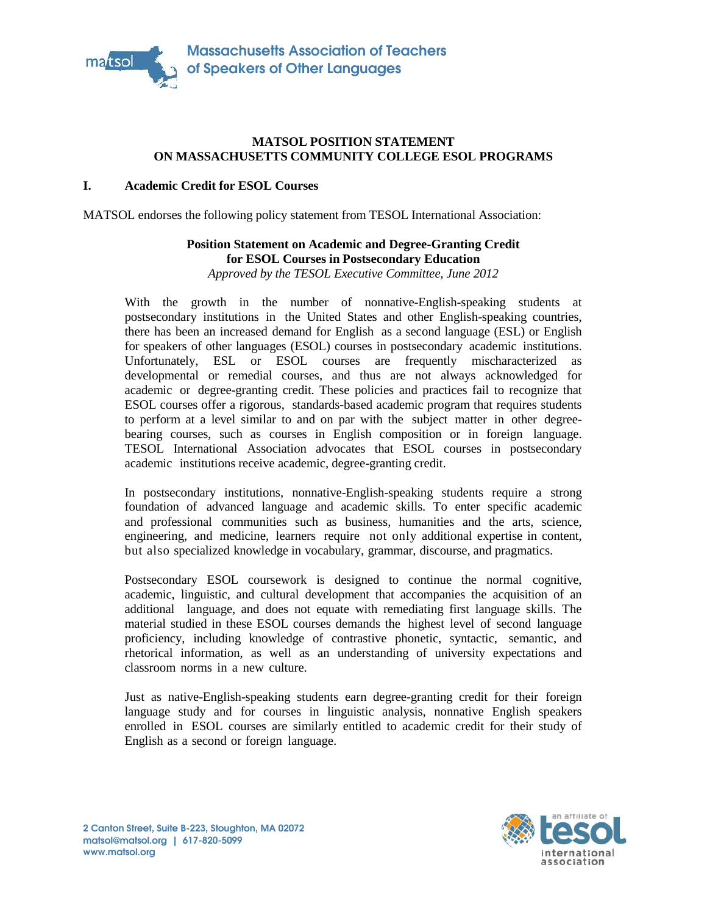

### **MATSOL POSITION STATEMENT ON MASSACHUSETTS COMMUNITY COLLEGE ESOL PROGRAMS**

#### **I. Academic Credit for ESOL Courses**

MATSOL endorses the following policy statement from TESOL International Association:

### **Position Statement on Academic and Degree-Granting Credit for ESOL Courses in Postsecondary Education** *Approved by the TESOL Executive Committee, June 2012*

With the growth in the number of nonnative-English-speaking students at postsecondary institutions in the United States and other English-speaking countries, there has been an increased demand for English as a second language (ESL) or English for speakers of other languages (ESOL) courses in postsecondary academic institutions. Unfortunately, ESL or ESOL courses are frequently mischaracterized as developmental or remedial courses, and thus are not always acknowledged for academic or degree-granting credit. These policies and practices fail to recognize that ESOL courses offer a rigorous, standards-based academic program that requires students ESOL courses offer a rigorous, standards-based academic program that requires students<br>to perform at a level similar to and on par with the subject matter in other degreebearing courses, such as courses in English composition or in foreign language. bearing courses, such as courses in English composition or in foreign language.<br>TESOL International Association advocates that ESOL courses in postsecondary academic institutions receive academic, degree-granting credit. **B-223, www.matsol.orgfor ESOL** the following statement International **Postsecondary Education***Approved by the TESOL*  growth institutionscountries,Englishlanguagespeakers coursesacademic ESL or ESOL courses are frequently mischaracterized as<br>or remedial courses, and thus are not always acknowledged for<br>degree-granting credit. These policies and practices fail to recognize that

In postsecondary institutions, nonnative-English-speaking students require a strong In postsecondary institutions, nonnative-English-speaking students require a strong<br>foundation of advanced language and academic skills. To enter specific academic and professional communities such as business, humanities and the arts, science, engineering, and medicine, learners require not only additional expertise in content, but also specialized knowledge in vocabulary, grammar, discourse, and pragmatics. and professional communities such as business, humanities and the arts, science, engineering, and medicine, learners require not only additional expertise in content, but also specialized knowledge in vocabulary, grammar,

Postsecondary ESOL coursework is designed to continue the normal cognitive, academic, linguistic, and cultural development that accompanies the acquisition of an additional language, and does not equate with remediating first language skills. The material studied in these ESOL courses demands the highest level of second language proficiency, including knowledge of contrastive phonetic, syntactic, semantic, and rhetorical information, as well as an understanding of university expectations and classroom norms in a new culture. TESOL International Association advocates that ESOL courses in postsecondary<br>academic institutions receive academic, degree-granting credit.<br>In postsecondary institutions, nonnative-English-speaking students require a stro

Just as native-English-speaking students earn degree-granting credit for their foreign language study and for courses in linguistic analysis, nonnative English speakers enrolled in ESOL courses are similarly entitled to academic credit for their study of English as a second or foreign language.